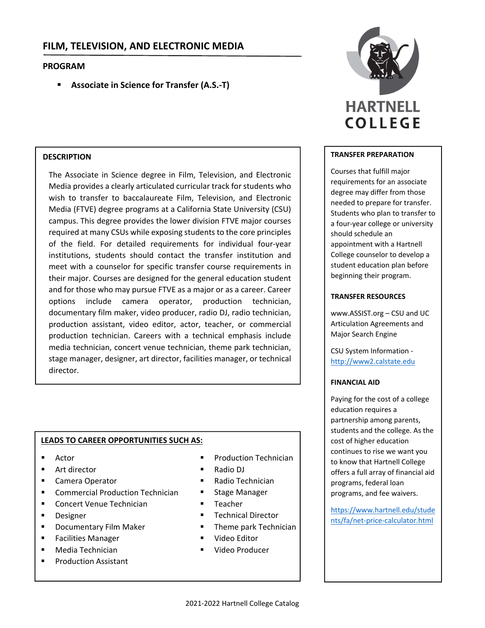# **FILM, TELEVISION, AND ELECTRONIC MEDIA**

# **PROGRAM**

**Associate in Science for Transfer (A.S.‐T)**

# **DESCRIPTION**

The Associate in Science degree in Film, Television, and Electronic Media provides a clearly articulated curricular track for students who wish to transfer to baccalaureate Film, Television, and Electronic Media (FTVE) degree programs at a California State University (CSU) campus. This degree provides the lower division FTVE major courses required at many CSUs while exposing students to the core principles of the field. For detailed requirements for individual four‐year institutions, students should contact the transfer institution and meet with a counselor for specific transfer course requirements in their major. Courses are designed for the general education student and for those who may pursue FTVE as a major or as a career. Career options include camera operator, production technician, documentary film maker, video producer, radio DJ, radio technician, production assistant, video editor, actor, teacher, or commercial production technician. Careers with a technical emphasis include media technician, concert venue technician, theme park technician, stage manager, designer, art director, facilities manager, or technical director.

# **LEADS TO CAREER OPPORTUNITIES SUCH AS:**

- Actor
- Art director
- **E** Camera Operator
- Commercial Production Technician
- **Concert Venue Technician**
- **Designer**
- **Documentary Film Maker**
- Facilities Manager
- **Media Technician**
- Production Assistant
- **Production Technician**
- Radio DJ
- Radio Technician
- **EXEC** Stage Manager
- Teacher
- **Technical Director**
- **Theme park Technician**
- Video Editor
- **Video Producer**



# **TRANSFER PREPARATION**

Courses that fulfill major requirements for an associate degree may differ from those needed to prepare for transfer. Students who plan to transfer to a four‐year college or university should schedule an appointment with a Hartnell College counselor to develop a student education plan before beginning their program.

### **TRANSFER RESOURCES**

www.ASSIST.org – CSU and UC Articulation Agreements and Major Search Engine

CSU System Information ‐ http://www2.calstate.edu

#### **FINANCIAL AID**

Paying for the cost of a college education requires a partnership among parents, students and the college. As the cost of higher education continues to rise we want you to know that Hartnell College offers a full array of financial aid programs, federal loan programs, and fee waivers.

https://www.hartnell.edu/stude nts/fa/net‐price‐calculator.html